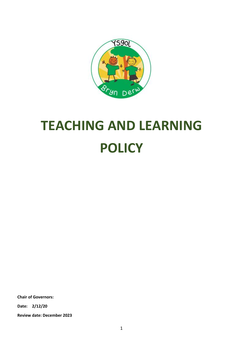

# **TEACHING AND LEARNING POLICY**

**Chair of Governors: Date: 2/12/20**

**Review date: December 2023**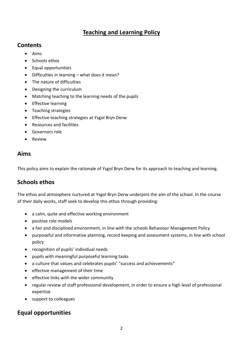#### **Teaching and Learning Policy**

#### **Contents**

- Aims
- Schools ethos
- Equal opportunities
- Difficulties in learning what does it mean?
- The nature of difficulties
- Designing the curriculum
- Matching teaching to the learning needs of the pupils
- Effective learning
- Teaching strategies
- **•** Effective teaching strategies at Ysgol Bryn Derw
- Resources and facilities
- Governors role
- Review

# **Aims**

This policy aims to explain the rationale of Ysgol Bryn Derw for its approach to teaching and learning.

# **Schools ethos**

The ethos and atmosphere nurtured at Ysgol Bryn Derw underpins the aim of the school. In the course of their daily works, staff seek to develop this ethos through providing:

- a calm, quite and effective working environment
- positive role models
- a fair and disciplined environment, in line with the schools Behaviour Management Policy
- purposeful and informative planning, record keeping and assessment systems, in line with school policy
- recognition of pupils' individual needs
- pupils with meaningful purposeful learning tasks
- a culture that values and celebrates pupils' "success and achievements"
- effective management of their time
- effective links with the wider community
- regular review of staff professional development, in order to ensure a high level of professional expertise
- support to colleagues

# **Equal opportunities**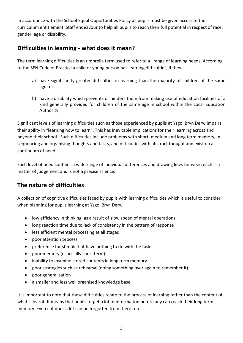In accordance with the School Equal Opportunities Policy all pupils must be given access to their curriculum entitlement. Staff endeavour to help all pupils to reach their full potential in respect of race, gender, age or disability.

#### **Difficulties in learning - what does it mean?**

The term learning difficulties is an umbrella term used to refer to a range of learning needs. According to the SEN Code of Practice a child or young person has learning difficulties, if they:

- a) have significantly greater difficulties in learning than the majority of children of the same age: or
- b) have a disability which prevents or hinders them from making use of education facilities of a kind generally provided for children of the same age in school within the Local Education Authority.

Significant levels of learning difficulties such as those experienced by pupils at Ysgol Bryn Derw impairs their ability in "learning how to learn". This has inevitable implications for their learning across and beyond their school. Such difficulties include problems with short, medium and long term memory, in sequencing and organising thoughts and tasks, and difficulties with abstract thought and exist on a continuum of need.

Each level of need contains a wide range of individual differences and drawing lines between each is a matter of judgement and is not a precise science.

# **The nature of difficulties**

A collection of cognitive difficulties faced by pupils with learning difficulties which is useful to consider when planning for pupils learning at Ysgol Bryn Derw

- low efficiency in thinking, as a result of slow speed of mental operations
- long reaction time due to lack of consistency in the pattern of response
- less efficient mental processing at all stages
- poor attention process
- preference for stimuli that have nothing to do with the task
- poor memory (especially short term)
- inability to examine stored contents in long term memory
- poor strategies such as rehearsal (doing something over again to remember it)
- poor generalisation
- a smaller and less well organised knowledge base

It is important to note that these difficulties relate to the process of learning rather than the content of what is learnt. It means that pupils forget a lot of information before any can reach their long term memory. Even if it does a lot can be forgotten from there too.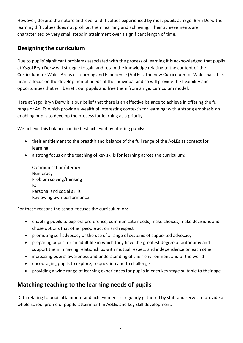However, despite the nature and level of difficulties experienced by most pupils at Ysgol Bryn Derw their learning difficulties does not prohibit them learning and achieving. Their achievements are characterised by very small steps in attainment over a significant length of time.

# **Designing the curriculum**

Due to pupils' significant problems associated with the process of learning it is acknowledged that pupils at Ysgol Bryn Derw will struggle to gain and retain the knowledge relating to the content of the Curriculum for Wales Areas of Learning and Experience (AoLEs). The new Curriculum for Wales has at its heart a focus on the developmental needs of the individual and so will provide the flexibility and opportunities that will benefit our pupils and free them from a rigid curriculum model.

Here at Ysgol Bryn Derw it is our belief that there is an effective balance to achieve in offering the full range of AoLEs which provide a wealth of interesting context's for learning; with a strong emphasis on enabling pupils to develop the process for learning as a priority.

We believe this balance can be best achieved by offering pupils:

- their entitlement to the breadth and balance of the full range of the AoLEs as context for learning
- a strong focus on the teaching of key skills for learning across the curriculum:

Communication/literacy Numeracy Problem solving/thinking ICT Personal and social skills Reviewing own performance

For these reasons the school focuses the curriculum on:

- enabling pupils to express preference, communicate needs, make choices, make decisions and chose options that other people act on and respect
- promoting self advocacy or the use of a range of systems of supported advocacy
- preparing pupils for an adult life in which they have the greatest degree of autonomy and support them in having relationships with mutual respect and independence on each other
- increasing pupils' awareness and understanding of their environment and of the world
- encouraging pupils to explore, to question and to challenge
- providing a wide range of learning experiences for pupils in each key stage suitable to their age

# **Matching teaching to the learning needs of pupils**

Data relating to pupil attainment and achievement is regularly gathered by staff and serves to provide a whole school profile of pupils' attainment in AoLEs and key skill development.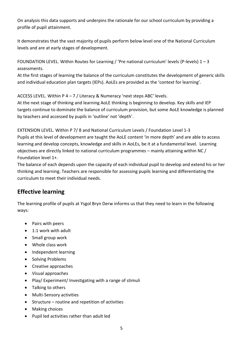On analysis this data supports and underpins the rationale for our school curriculum by providing a profile of pupil attainment.

It demonstrates that the vast majority of pupils perform below level one of the National Curriculum levels and are at early stages of development.

FOUNDATION LEVEL. Within Routes for Learning / 'Pre national curriculum' levels (P-levels)  $1 - 3$ assessments.

At the first stages of learning the balance of the curriculum constitutes the development of generic skills and individual education plan targets (IEPs). AoLEs are provided as the 'context for learning'.

ACCESS LEVEL. Within P 4 – 7 / Literacy & Numeracy 'next steps ABC' levels.

At the next stage of thinking and learning AoLE thinking is beginning to develop. Key skills and IEP targets continue to dominate the balance of curriculum provision, but some AoLE knowledge is planned by teachers and accessed by pupils in 'outline' not 'depth'.

EXTENSION LEVEL. Within P 7/ 8 and National Curriculum Levels / Foundation Level 1-3 Pupils at this level of development are taught the AoLE content 'in more depth' and are able to access learning and develop concepts, knowledge and skills in AoLEs, be it at a fundamental level. Learning objectives are directly linked to national curriculum programmes – mainly attaining within NC / Foundation level 1+.

The balance of each depends upon the capacity of each individual pupil to develop and extend his or her thinking and learning. Teachers are responsible for assessing pupils learning and differentiating the curriculum to meet their individual needs.

# **Effective learning**

The learning profile of pupils at Ysgol Bryn Derw informs us that they need to learn in the following ways:

- Pairs with peers
- 1:1 work with adult
- Small group work
- Whole class work
- Independent learning
- Solving Problems
- Creative approaches
- Visual approaches
- Play/ Experiment/ Investigating with a range of stimuli
- Talking to others
- Multi-Sensory activities
- Structure routine and repetition of activities
- Making choices
- Pupil led activities rather than adult led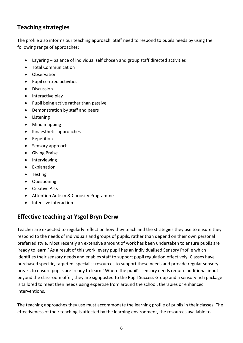# **Teaching strategies**

The profile also informs our teaching approach. Staff need to respond to pupils needs by using the following range of approaches;

- Layering balance of individual self chosen and group staff directed activities
- Total Communication
- **•** Observation
- Pupil centred activities
- Discussion
- Interactive play
- Pupil being active rather than passive
- Demonstration by staff and peers
- Listening
- Mind mapping
- Kinaesthetic approaches
- Repetition
- Sensory approach
- **•** Giving Praise
- Interviewing
- Explanation
- Testing
- Questioning
- Creative Arts
- Attention Autism & Curiosity Programme
- Intensive interaction

#### **Effective teaching at Ysgol Bryn Derw**

Teacher are expected to regularly reflect on how they teach and the strategies they use to ensure they respond to the needs of individuals and groups of pupils, rather than depend on their own personal preferred style. Most recently an extensive amount of work has been undertaken to ensure pupils are 'ready to learn.' As a result of this work, every pupil has an individualised Sensory Profile which identifies their sensory needs and enables staff to support pupil regulation effectively. Classes have purchased specific, targeted, specialist resources to support these needs and provide regular sensory breaks to ensure pupils are 'ready to learn.' Where the pupil's sensory needs require additional input beyond the classroom offer, they are signposted to the Pupil Success Group and a sensory rich package is tailored to meet their needs using expertise from around the school, therapies or enhanced interventions.

The teaching approaches they use must accommodate the learning profile of pupils in their classes. The effectiveness of their teaching is affected by the learning environment, the resources available to